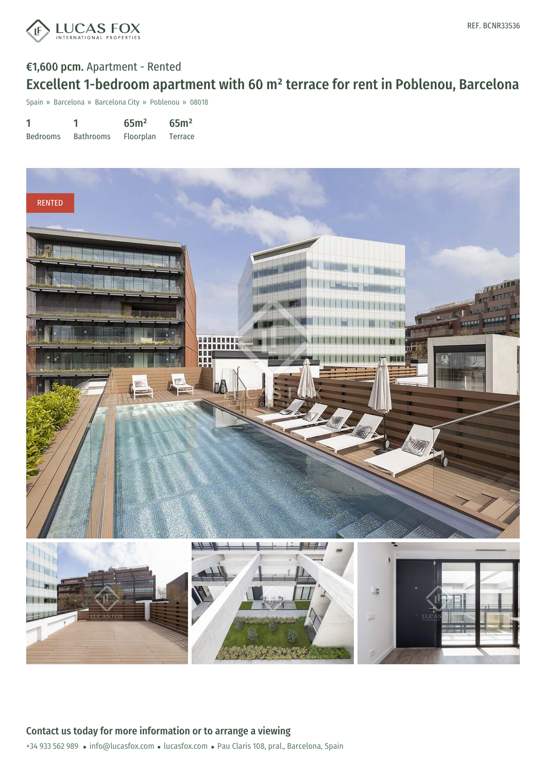

## €1,600 pcm. Apartment - Rented Excellent 1-bedroom apartment with 60 m² terrace for rent in Poblenou, Barcelona

Spain » Barcelona » Barcelona City » Poblenou » 08018

| 1               |                  | 65 <sup>m²</sup> | 65 <sup>m²</sup> |
|-----------------|------------------|------------------|------------------|
| <b>Bedrooms</b> | <b>Bathrooms</b> | <b>Floorplan</b> | Terrace          |



+34 933 562 989 · info@lucasfox.com · lucasfox.com · Pau Claris 108, pral., Barcelona, Spain Contact us today for more information or to arrange a viewing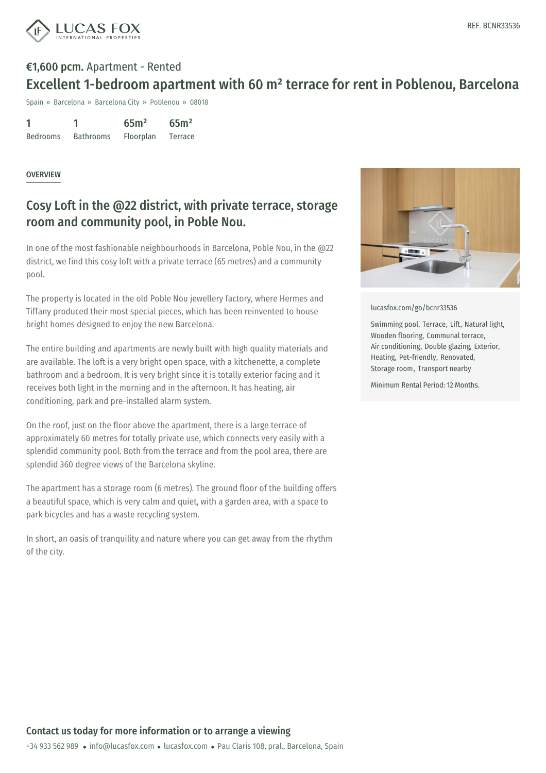

## €1,600 pcm. Apartment - Rented Excellent 1-bedroom apartment with 60 m² terrace for rent in Poblenou, Barcelona

Spain » Barcelona » Barcelona City » Poblenou » 08018

| 1               |                  | 65 <sup>m²</sup> | 65 <sup>m²</sup> |
|-----------------|------------------|------------------|------------------|
| <b>Bedrooms</b> | <b>Bathrooms</b> | Floorplan        | Terrace          |

#### **OVERVIEW**

### Cosy Loft in the @22 district, with private terrace, storage room and community pool, in Poble Nou.

In one of the most fashionable neighbourhoods in Barcelona, Poble Nou, in the @22 district, we find this cosy loft with a private terrace (65 metres) and a community pool.

The property is located in the old Poble Nou jewellery factory, where Hermes and Tiffany produced their most special pieces, which has been reinvented to house bright homes designed to enjoy the new Barcelona.

The entire building and apartments are newly built with high quality materials and are available. The loft is a very bright open space, with a kitchenette, a complete bathroom and a bedroom. It is very bright since it is totally exterior facing and it receives both light in the morning and in the afternoon. It has heating, air conditioning, park and pre-installed alarm system.

On the roof, just on the floor above the apartment, there is a large terrace of approximately 60 metres for totally private use, which connects very easily with a splendid community pool. Both from the terrace and from the pool area, there are splendid 360 degree views of the Barcelona skyline.

The apartment has a storage room (6 metres). The ground floor of the building offers a beautiful space, which is very calm and quiet, with a garden area, with a space to park bicycles and has a waste recycling system.

In short, an oasis of tranquility and nature where you can get away from the rhythm of the city.



[lucasfox.com/go/bcnr33536](https://www.lucasfox.com/go/bcnr33536)

Swimming pool, Terrace, Lift, Natural light, Wooden flooring, Communal terrace, Air conditioning, Double glazing, Exterior, Heating, Pet-friendly, Renovated, Storage room, Transport nearby

Minimum Rental Period: 12 Months.